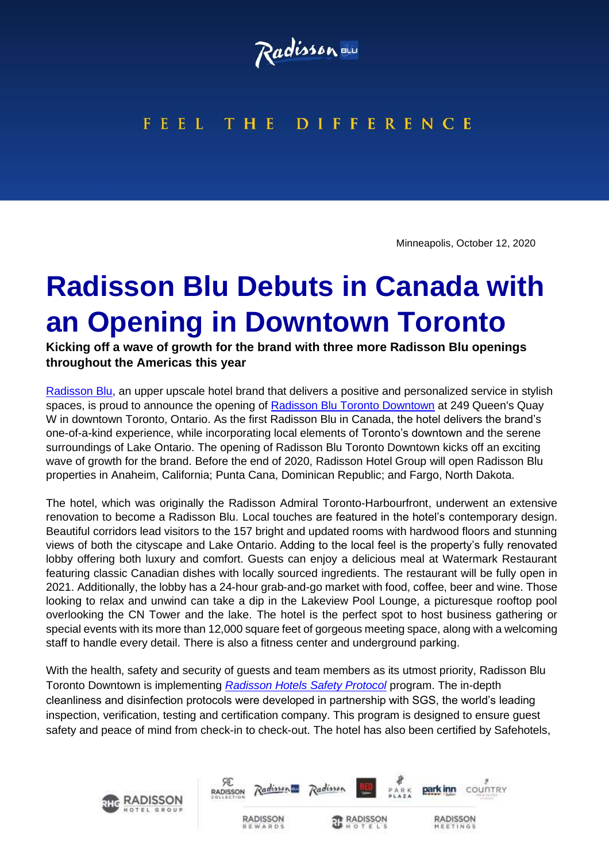

## FEEL THE DIFFERENCE

Minneapolis, October 12, 2020

## **Radisson Blu Debuts in Canada with an Opening in Downtown Toronto**

**Kicking off a wave of growth for the brand with three more Radisson Blu openings throughout the Americas this year**

[Radisson](https://www.radissonhotels.com/en-us/brand/radisson-blu) Blu, an upper upscale hotel brand that delivers a positive and personalized service in stylish spaces, is proud to announce the opening of [Radisson Blu Toronto Downtown](https://www.radissonhotels.com/en-us/hotels/radisson-toronto-harbourfront-admiral/coming-soon) at 249 Queen's Quay W in downtown Toronto, Ontario. As the first Radisson Blu in Canada, the hotel delivers the brand's one-of-a-kind experience, while incorporating local elements of Toronto's downtown and the serene surroundings of Lake Ontario. The opening of Radisson Blu Toronto Downtown kicks off an exciting wave of growth for the brand. Before the end of 2020, Radisson Hotel Group will open Radisson Blu properties in Anaheim, California; Punta Cana, Dominican Republic; and Fargo, North Dakota.

The hotel, which was originally the Radisson Admiral Toronto-Harbourfront, underwent an extensive renovation to become a Radisson Blu. Local touches are featured in the hotel's contemporary design. Beautiful corridors lead visitors to the 157 bright and updated rooms with hardwood floors and stunning views of both the cityscape and Lake Ontario. Adding to the local feel is the property's fully renovated lobby offering both luxury and comfort. Guests can enjoy a delicious meal at Watermark Restaurant featuring classic Canadian dishes with locally sourced ingredients. The restaurant will be fully open in 2021. Additionally, the lobby has a 24-hour grab-and-go market with food, coffee, beer and wine. Those looking to relax and unwind can take a dip in the Lakeview Pool Lounge, a picturesque rooftop pool overlooking the CN Tower and the lake. The hotel is the perfect spot to host business gathering or special events with its more than 12,000 square feet of gorgeous meeting space, along with a welcoming staff to handle every detail. There is also a fitness center and underground parking.

With the health, safety and security of guests and team members as its utmost priority, Radisson Blu Toronto Downtown is implementing *[Radisson Hotels Safety Protocol](https://www.radissonhotelgroup.com/media_press-releases&article=radisson-hotel-group-announces-its-radisson-safety-protocol-a-global-commitment-to-cleanliness-and-hygiene-in-partnership-with-sgs)* program. The in-depth cleanliness and disinfection protocols were developed in partnership with SGS, the world's leading inspection, verification, testing and certification company. This program is designed to ensure guest safety and peace of mind from check-in to check-out. The hotel has also been certified by Safehotels,

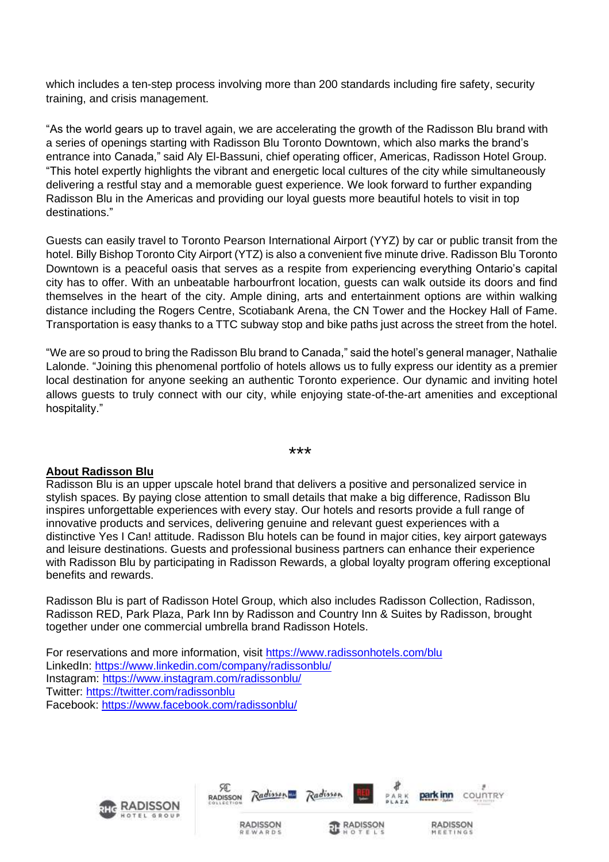which includes a ten-step process involving more than 200 standards including fire safety, security training, and crisis management.

"As the world gears up to travel again, we are accelerating the growth of the Radisson Blu brand with a series of openings starting with Radisson Blu Toronto Downtown, which also marks the brand's entrance into Canada," said Aly El-Bassuni, chief operating officer, Americas, Radisson Hotel Group. "This hotel expertly highlights the vibrant and energetic local cultures of the city while simultaneously delivering a restful stay and a memorable guest experience. We look forward to further expanding Radisson Blu in the Americas and providing our loyal guests more beautiful hotels to visit in top destinations."

Guests can easily travel to Toronto Pearson International Airport (YYZ) by car or public transit from the hotel. Billy Bishop Toronto City Airport (YTZ) is also a convenient five minute drive. Radisson Blu Toronto Downtown is a peaceful oasis that serves as a respite from experiencing everything Ontario's capital city has to offer. With an unbeatable harbourfront location, guests can walk outside its doors and find themselves in the heart of the city. Ample dining, arts and entertainment options are within walking distance including the Rogers Centre, Scotiabank Arena, the CN Tower and the Hockey Hall of Fame. Transportation is easy thanks to a TTC subway stop and bike paths just across the street from the hotel.

"We are so proud to bring the Radisson Blu brand to Canada," said the hotel's general manager, Nathalie Lalonde. "Joining this phenomenal portfolio of hotels allows us to fully express our identity as a premier local destination for anyone seeking an authentic Toronto experience. Our dynamic and inviting hotel allows guests to truly connect with our city, while enjoying state-of-the-art amenities and exceptional hospitality."

\*\*\*

## **About Radisson Blu**

Radisson Blu is an upper upscale hotel brand that delivers a positive and personalized service in stylish spaces. By paying close attention to small details that make a big difference, Radisson Blu inspires unforgettable experiences with every stay. Our hotels and resorts provide a full range of innovative products and services, delivering genuine and relevant guest experiences with a distinctive Yes I Can! attitude. Radisson Blu hotels can be found in major cities, key airport gateways and leisure destinations. Guests and professional business partners can enhance their experience with Radisson Blu by participating in Radisson Rewards, a global loyalty program offering exceptional benefits and rewards.

Radisson Blu is part of Radisson Hotel Group, which also includes Radisson Collection, Radisson, Radisson RED, Park Plaza, Park Inn by Radisson and Country Inn & Suites by Radisson, brought together under one commercial umbrella brand Radisson Hotels.

For reservations and more information, visit <https://www.radissonhotels.com/blu> LinkedIn: <https://www.linkedin.com/company/radissonblu/> Instagram: <https://www.instagram.com/radissonblu/> Twitter: <https://twitter.com/radissonblu> Facebook: <https://www.facebook.com/radissonblu/>